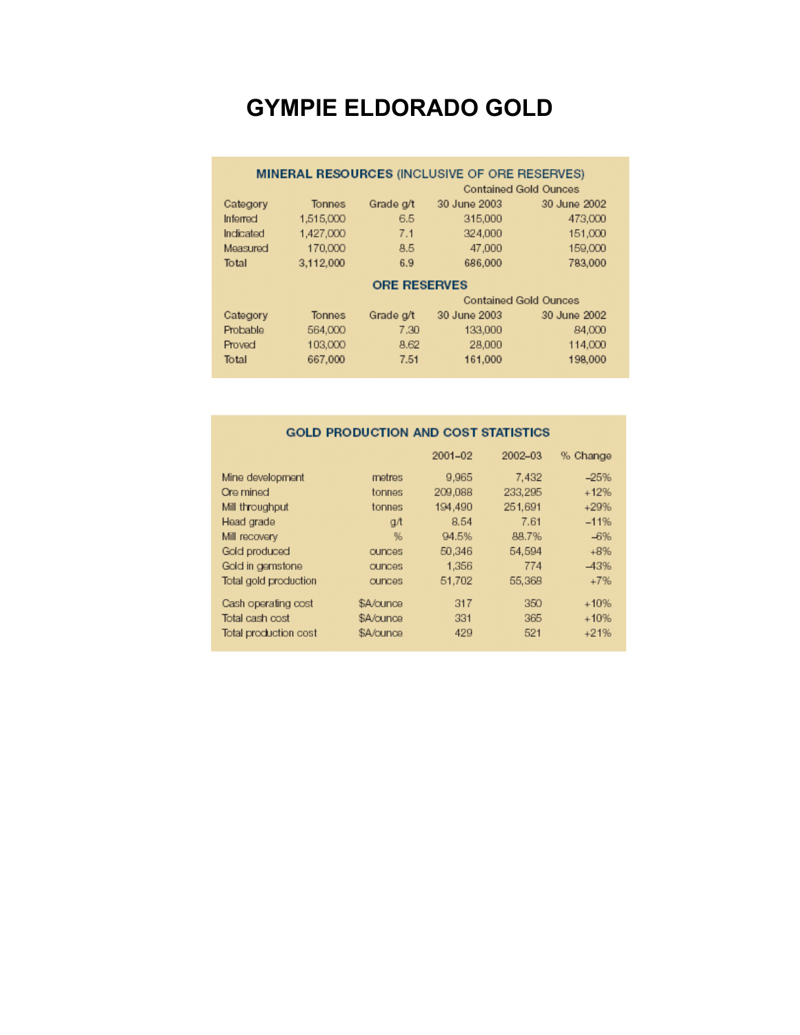## **GYMPIE ELDORADO GOLD**

| <b>MINERAL RESOURCES (INCLUSIVE OF ORE RESERVES)</b> |           |                              |                              |              |  |  |  |  |  |
|------------------------------------------------------|-----------|------------------------------|------------------------------|--------------|--|--|--|--|--|
|                                                      |           | <b>Contained Gold Ounces</b> |                              |              |  |  |  |  |  |
| Category                                             | Tonnes    | Grade g/t                    | 30 June 2003                 | 30 June 2002 |  |  |  |  |  |
| Inferred                                             | 1,515,000 | 6.5                          | 315,000                      | 473,000      |  |  |  |  |  |
| Indicated                                            | 1,427,000 | 7.1                          | 324,000                      | 151,000      |  |  |  |  |  |
| Measured                                             | 170,000   | 8.5                          | 47,000                       | 159,000      |  |  |  |  |  |
| Total                                                | 3,112,000 | 6.9                          | 686,000                      | 783,000      |  |  |  |  |  |
| <b>ORE RESERVES</b>                                  |           |                              |                              |              |  |  |  |  |  |
|                                                      |           |                              | <b>Contained Gold Ounces</b> |              |  |  |  |  |  |
| Category                                             | Tonnes    | Grade g/t                    | 30 June 2003                 | 30 June 2002 |  |  |  |  |  |
| Probable                                             | 564,000   | 7.30                         | 133,000                      | 84,000       |  |  |  |  |  |
| Proved                                               | 103,000   | 8.62                         | 28,000                       | 114,000      |  |  |  |  |  |
| Total                                                | 667,000   | 7.51                         | 161,000                      | 198,000      |  |  |  |  |  |

| <b>GOLD PRODUCTION AND COST STATISTICS</b> |               |         |         |          |  |  |  |  |
|--------------------------------------------|---------------|---------|---------|----------|--|--|--|--|
|                                            |               | 2001-02 | 2002-03 | % Change |  |  |  |  |
| Mine development                           | metres        | 9,965   | 7,432   | $-25%$   |  |  |  |  |
| Ore mined                                  | tonnes        | 209,088 | 233,295 | $+12%$   |  |  |  |  |
| Mill throughput                            | tonnes        | 194,490 | 251,691 | $+29%$   |  |  |  |  |
| Head grade                                 | gA            | 8.54    | 7.61    | $-11%$   |  |  |  |  |
| Mill recovery                              | %             | 94.5%   | 88.7%   | $-6%$    |  |  |  |  |
| Gold produced                              | <b>ounces</b> | 50,346  | 54,594  | $+8%$    |  |  |  |  |
| Gold in gemstone                           | cunces        | 1,356   | 774     | $-43%$   |  |  |  |  |
| Total gold production                      | cunces        | 51,702  | 55,368  | $+7%$    |  |  |  |  |
| Cash operating cost                        | \$A/ounce     | 317     | 350     | $+10%$   |  |  |  |  |
| Total cash cost                            | \$A/ounce     | 331     | 365     | $+10%$   |  |  |  |  |
| Total production cost                      | \$A/cunce     | 429     | 521     | $+21%$   |  |  |  |  |